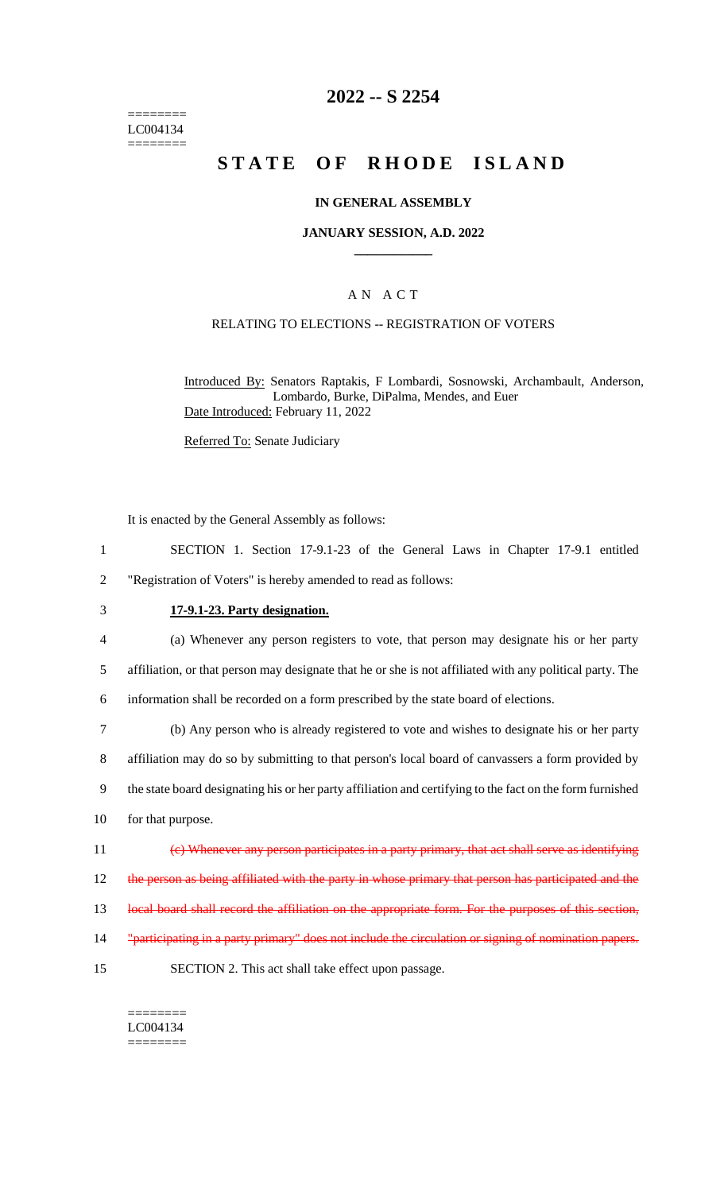======== LC004134 ========

### **2022 -- S 2254**

# **STATE OF RHODE ISLAND**

#### **IN GENERAL ASSEMBLY**

#### **JANUARY SESSION, A.D. 2022 \_\_\_\_\_\_\_\_\_\_\_\_**

### A N A C T

### RELATING TO ELECTIONS -- REGISTRATION OF VOTERS

Introduced By: Senators Raptakis, F Lombardi, Sosnowski, Archambault, Anderson, Lombardo, Burke, DiPalma, Mendes, and Euer Date Introduced: February 11, 2022

Referred To: Senate Judiciary

It is enacted by the General Assembly as follows:

- 1 SECTION 1. Section 17-9.1-23 of the General Laws in Chapter 17-9.1 entitled 2 "Registration of Voters" is hereby amended to read as follows:
- 3 **17-9.1-23. Party designation.**

4 (a) Whenever any person registers to vote, that person may designate his or her party

5 affiliation, or that person may designate that he or she is not affiliated with any political party. The

6 information shall be recorded on a form prescribed by the state board of elections.

 (b) Any person who is already registered to vote and wishes to designate his or her party affiliation may do so by submitting to that person's local board of canvassers a form provided by the state board designating his or her party affiliation and certifying to the fact on the form furnished for that purpose. (c) Whenever any person participates in a party primary, that act shall serve as identifying 12 the person as being affiliated with the party in whose primary that person has participated and the

13 local board shall record the affiliation on the appropriate form. For the purposes of this section,

- 14 "participating in a party primary" does not include the circulation or signing of nomination papers.
- 15 SECTION 2. This act shall take effect upon passage.

#### ======== LC004134

========